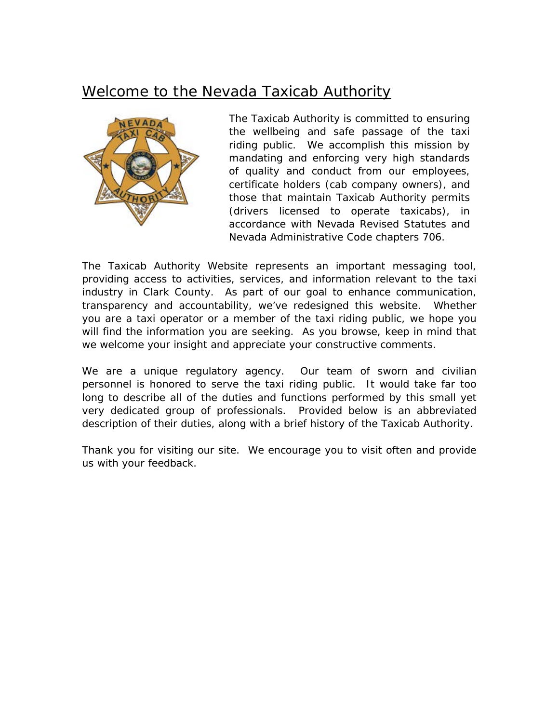## Welcome to the Nevada Taxicab Authority



*The Taxicab Authority is committed to ensuring the wellbeing and safe passage of the taxi riding public. We accomplish this mission by mandating and enforcing very high standards of quality and conduct from our employees, certificate holders (cab company owners), and those that maintain Taxicab Authority permits (drivers licensed to operate taxicabs), in accordance with Nevada Revised Statutes and Nevada Administrative Code chapters 706.*

*The Taxicab Authority Website represents an important messaging tool, providing access to activities, services, and information relevant to the taxi industry in Clark County. As part of our goal to enhance communication, transparency and accountability, we've redesigned this website. Whether you are a taxi operator or a member of the taxi riding public, we hope you*  will find the information you are seeking. As you browse, keep in mind that *we welcome your insight and appreciate your constructive comments.*

*We are a unique regulatory agency. Our team of sworn and civilian personnel is honored to serve the taxi riding public. It would take far too*  long to describe all of the duties and functions performed by this small yet *very dedicated group of professionals. Provided below is an abbreviated description of their duties, along with a brief history of the Taxicab Authority.*

*Thank you for visiting our site. We encourage you to visit often and provide us with your feedback.*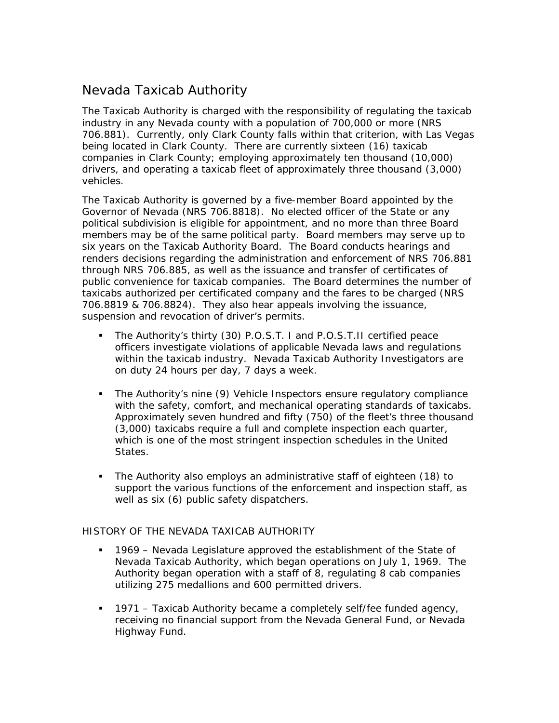## Nevada Taxicab Authority

*The Taxicab Authority is charged with the responsibility of regulating the taxicab industry in any Nevada county with a population of 700,000 or more (NRS 706.881). Currently, only Clark County falls within that criterion, with Las Vegas being located in Clark County. There are currently sixteen (16) taxicab companies in Clark County; employing approximately ten thousand (10,000) drivers, and operating a taxicab fleet of approximately three thousand (3,000) vehicles.*

*The Taxicab Authority is governed by a five-member Board appointed by the Governor of Nevada (NRS 706.8818). No elected officer of the State or any political subdivision is eligible for appointment, and no more than three Board members may be of the same political party. Board members may serve up to six years on the Taxicab Authority Board. The Board conducts hearings and renders decisions regarding the administration and enforcement of NRS 706.881 through NRS 706.885, as well as the issuance and transfer of certificates of public convenience for taxicab companies. The Board determines the number of taxicabs authorized per certificated company and the fares to be charged (NRS 706.8819 & 706.8824). They also hear appeals involving the issuance, suspension and revocation of driver's permits.*

- *The Authority's thirty (30) P.O.S.T. I and P.O.S.T.II certified peace officers investigate violations of applicable Nevada laws and regulations within the taxicab industry. Nevada Taxicab Authority Investigators are on duty 24 hours per day, 7 days a week.*
- *The Authority's nine (9) Vehicle Inspectors ensure regulatory compliance with the safety, comfort, and mechanical operating standards of taxicabs. Approximately seven hundred and fifty (750) of the fleet's three thousand (3,000) taxicabs require a full and complete inspection each quarter, which is one of the most stringent inspection schedules in the United States.*
- *The Authority also employs an administrative staff of eighteen (18) to support the various functions of the enforcement and inspection staff, as well as six (6) public safety dispatchers.*

## *HISTORY OF THE NEVADA TAXICAB AUTHORITY*

- *1969 Nevada Legislature approved the establishment of the State of Nevada Taxicab Authority, which began operations on July 1, 1969. The Authority began operation with a staff of 8, regulating 8 cab companies utilizing 275 medallions and 600 permitted drivers.*
- *1971 Taxicab Authority became a completely self/fee funded agency, receiving no financial support from the Nevada General Fund, or Nevada Highway Fund.*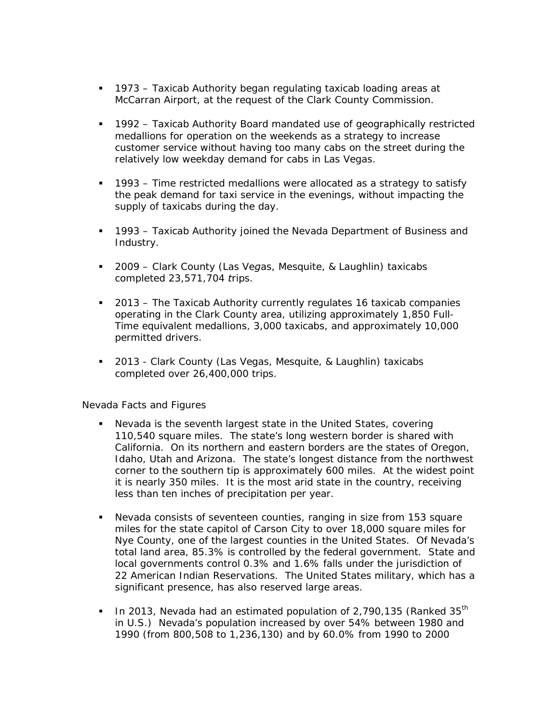- *1973 Taxicab Authority began regulating taxicab loading areas at McCarran Airport, at the request of the Clark County Commission.*
- *1992 Taxicab Authority Board mandated use of geographically restricted medallions for operation on the weekends as a strategy to increase customer service without having too many cabs on the street during the relatively low weekday demand for cabs in Las Vegas.*
- *1993 Time restricted medallions were allocated as a strategy to satisfy the peak demand for taxi service in the evenings, without impacting the supply of taxicabs during the day.*
- *1993 Taxicab Authority joined the Nevada Department of Business and Industry.*
- *2009 Clark County (Las Vegas, Mesquite, & Laughlin) taxicabs completed 23,571,704 trips.*
- *2013 The Taxicab Authority currently regulates 16 taxicab companies operating in the Clark County area, utilizing approximately 1,850 Full-Time equivalent medallions, 3,000 taxicabs, and approximately 10,000 permitted drivers.*
- *2013 Clark County (Las Vegas, Mesquite, & Laughlin) taxicabs completed over 26,400,000 trips.*

## *Nevada Facts and Figures*

- *Nevada is the seventh largest state in the United States, covering 110,540 square miles. The state's long western border is shared with California. On its northern and eastern borders are the states of Oregon, Idaho, Utah and Arizona. The state's longest distance from the northwest corner to the southern tip is approximately 600 miles. At the widest point it is nearly 350 miles. It is the most arid state in the country, receiving less than ten inches of precipitation per year.*
- *Nevada consists of seventeen counties, ranging in size from 153 square miles for the state capitol of Carson City to over 18,000 square miles for Nye County, one of the largest counties in the United States. Of Nevada's total land area, 85.3% is controlled by the federal government. State and local governments control 0.3% and 1.6% falls under the jurisdiction of 22 American Indian Reservations. The United States military, which has a significant presence, has also reserved large areas.*
- *In 2013, Nevada had an estimated population of 2,790,135 (Ranked 35th in U.S.) Nevada's population increased by over 54% between 1980 and 1990 (from 800,508 to 1,236,130) and by 60.0% from 1990 to 2000*